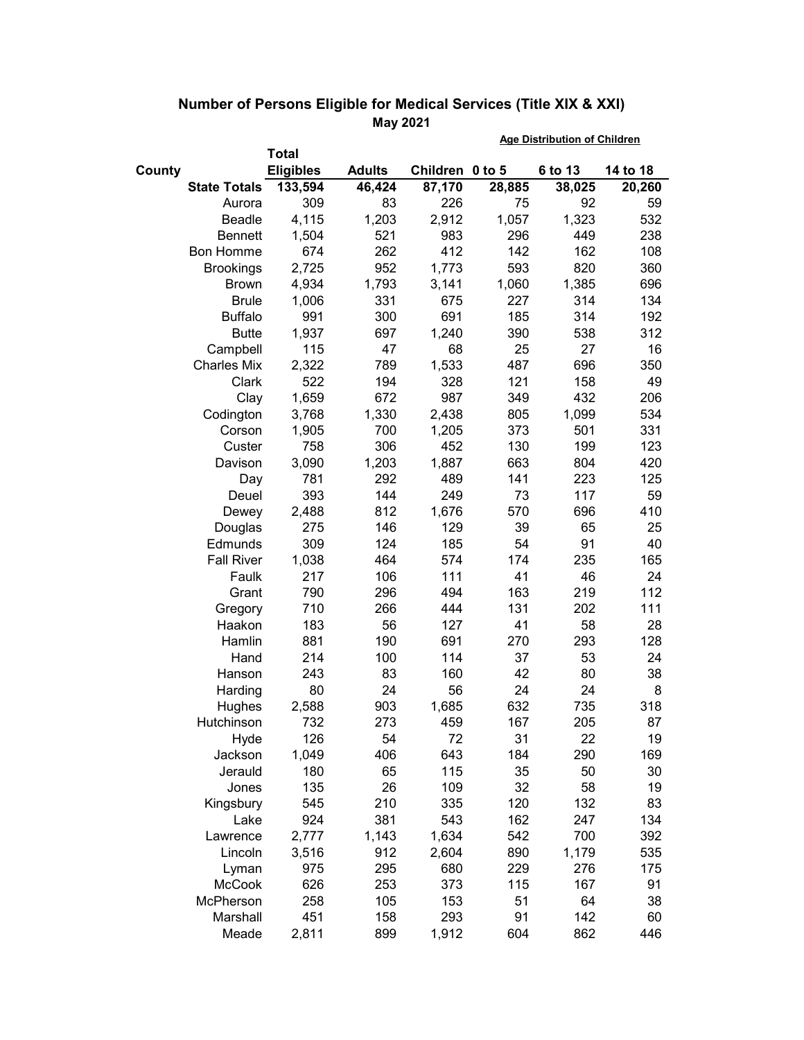|        |                     |                  |               |                 |        | <b>Age Distribution of Children</b> |          |  |
|--------|---------------------|------------------|---------------|-----------------|--------|-------------------------------------|----------|--|
|        |                     | <b>Total</b>     |               |                 |        |                                     |          |  |
| County |                     | <b>Eligibles</b> | <b>Adults</b> | Children 0 to 5 |        | 6 to 13                             | 14 to 18 |  |
|        | <b>State Totals</b> | 133,594          | 46,424        | 87,170          | 28,885 | 38,025                              | 20,260   |  |
|        | Aurora              | 309              | 83            | 226             | 75     | 92                                  | 59       |  |
|        | Beadle              | 4,115            | 1,203         | 2,912           | 1,057  | 1,323                               | 532      |  |
|        | <b>Bennett</b>      | 1,504            | 521           | 983             | 296    | 449                                 | 238      |  |
|        | Bon Homme           | 674              | 262           | 412             | 142    | 162                                 | 108      |  |
|        | <b>Brookings</b>    | 2,725            | 952           | 1,773           | 593    | 820                                 | 360      |  |
|        | <b>Brown</b>        | 4,934            | 1,793         | 3,141           | 1,060  | 1,385                               | 696      |  |
|        | <b>Brule</b>        | 1,006            | 331           | 675             | 227    | 314                                 | 134      |  |
|        | <b>Buffalo</b>      | 991              | 300           | 691             | 185    | 314                                 | 192      |  |
|        | <b>Butte</b>        | 1,937            | 697           | 1,240           | 390    | 538                                 | 312      |  |
|        | Campbell            | 115              | 47            | 68              | 25     | 27                                  | 16       |  |
|        | <b>Charles Mix</b>  | 2,322            | 789           | 1,533           | 487    | 696                                 | 350      |  |
|        | Clark               | 522              | 194           | 328             | 121    | 158                                 | 49       |  |
|        | Clay                | 1,659            | 672           | 987             | 349    | 432                                 | 206      |  |
|        | Codington           | 3,768            | 1,330         | 2,438           | 805    | 1,099                               | 534      |  |
|        | Corson              | 1,905            | 700           | 1,205           | 373    | 501                                 | 331      |  |
|        | Custer              | 758              | 306           | 452             | 130    | 199                                 | 123      |  |
|        | Davison             | 3,090            | 1,203         | 1,887           | 663    | 804                                 | 420      |  |
|        | Day                 | 781              | 292           | 489             | 141    | 223                                 | 125      |  |
|        | Deuel               | 393              | 144           | 249             | 73     | 117                                 | 59       |  |
|        | Dewey               | 2,488            | 812           | 1,676           | 570    | 696                                 | 410      |  |
|        | Douglas             | 275              | 146           | 129             | 39     | 65                                  | 25       |  |
|        | Edmunds             | 309              | 124           | 185             | 54     | 91                                  | 40       |  |
|        | <b>Fall River</b>   | 1,038            | 464           | 574             | 174    | 235                                 | 165      |  |
|        | Faulk               | 217              | 106           | 111             | 41     | 46                                  | 24       |  |
|        | Grant               | 790              | 296           | 494             | 163    | 219                                 | 112      |  |
|        | Gregory             | 710              | 266           | 444             | 131    | 202                                 | 111      |  |
|        | Haakon              | 183              | 56            | 127             | 41     | 58                                  | 28       |  |
|        | Hamlin              | 881              | 190           | 691             | 270    | 293                                 | 128      |  |
|        | Hand                | 214              | 100           | 114             | 37     | 53                                  | 24       |  |
|        | Hanson              | 243              | 83            | 160             | 42     | 80                                  | 38       |  |
|        | Harding             | 80               | 24            | 56              | 24     | 24                                  | 8        |  |
|        | Hughes              | 2,588            | 903           | 1,685           | 632    | 735                                 | 318      |  |
|        | Hutchinson          | 732              | 273           | 459             | 167    | 205                                 | 87       |  |
|        | Hyde                | 126              | 54            | 72              | 31     | 22                                  | 19       |  |
|        | Jackson             | 1,049            | 406           | 643             | 184    | 290                                 | 169      |  |
|        | Jerauld             | 180              | 65            | 115             | 35     | 50                                  | 30       |  |
|        | Jones               | 135              | 26            | 109             | 32     | 58                                  | 19       |  |
|        | Kingsbury           | 545              | 210           | 335             | 120    | 132                                 | 83       |  |
|        | Lake                | 924              | 381           | 543             | 162    | 247                                 | 134      |  |
|        | Lawrence            | 2,777            | 1,143         | 1,634           | 542    | 700                                 | 392      |  |
|        | Lincoln             | 3,516            | 912           | 2,604           | 890    | 1,179                               | 535      |  |
|        | Lyman               | 975              | 295           | 680             | 229    | 276                                 | 175      |  |
|        | <b>McCook</b>       | 626              | 253           | 373             | 115    | 167                                 | 91       |  |
|        | McPherson           | 258              | 105           | 153             | 51     | 64                                  | 38       |  |
|        | Marshall            | 451              | 158           | 293             | 91     | 142                                 | 60       |  |
|        | Meade               | 2,811            | 899           | 1,912           | 604    | 862                                 | 446      |  |

## **Number of Persons Eligible for Medical Services (Title XIX & XXI) May 2021 Age Distribution of Children**